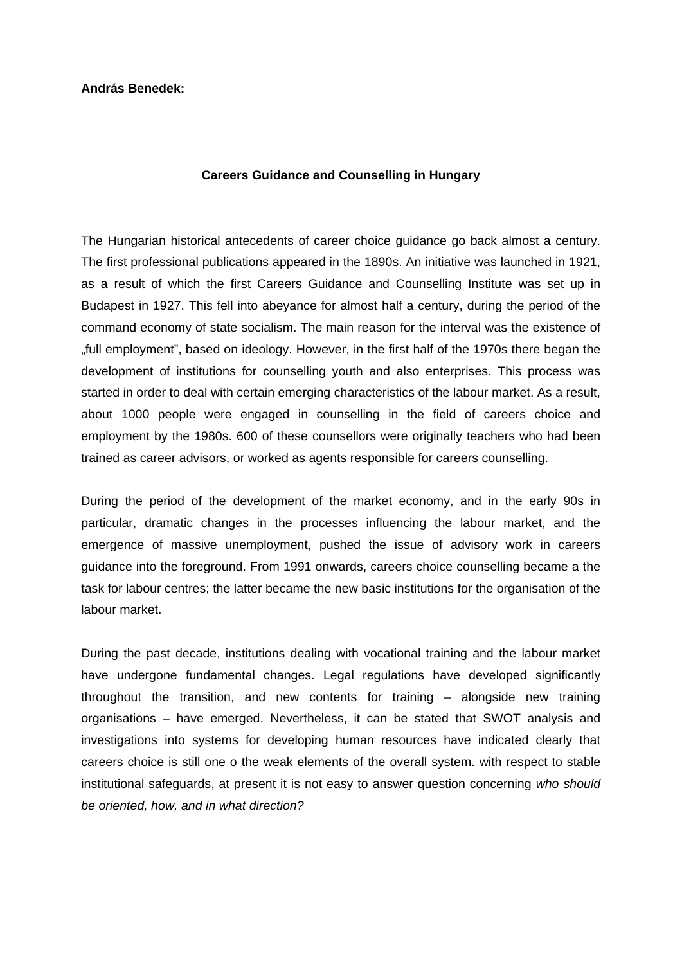**András Benedek:** 

## **Careers Guidance and Counselling in Hungary**

The Hungarian historical antecedents of career choice guidance go back almost a century. The first professional publications appeared in the 1890s. An initiative was launched in 1921, as a result of which the first Careers Guidance and Counselling Institute was set up in Budapest in 1927. This fell into abeyance for almost half a century, during the period of the command economy of state socialism. The main reason for the interval was the existence of "full employment", based on ideology. However, in the first half of the 1970s there began the development of institutions for counselling youth and also enterprises. This process was started in order to deal with certain emerging characteristics of the labour market. As a result, about 1000 people were engaged in counselling in the field of careers choice and employment by the 1980s. 600 of these counsellors were originally teachers who had been trained as career advisors, or worked as agents responsible for careers counselling.

During the period of the development of the market economy, and in the early 90s in particular, dramatic changes in the processes influencing the labour market, and the emergence of massive unemployment, pushed the issue of advisory work in careers guidance into the foreground. From 1991 onwards, careers choice counselling became a the task for labour centres; the latter became the new basic institutions for the organisation of the labour market.

During the past decade, institutions dealing with vocational training and the labour market have undergone fundamental changes. Legal regulations have developed significantly throughout the transition, and new contents for training – alongside new training organisations – have emerged. Nevertheless, it can be stated that SWOT analysis and investigations into systems for developing human resources have indicated clearly that careers choice is still one o the weak elements of the overall system. with respect to stable institutional safeguards, at present it is not easy to answer question concerning *who should be oriented, how, and in what direction?*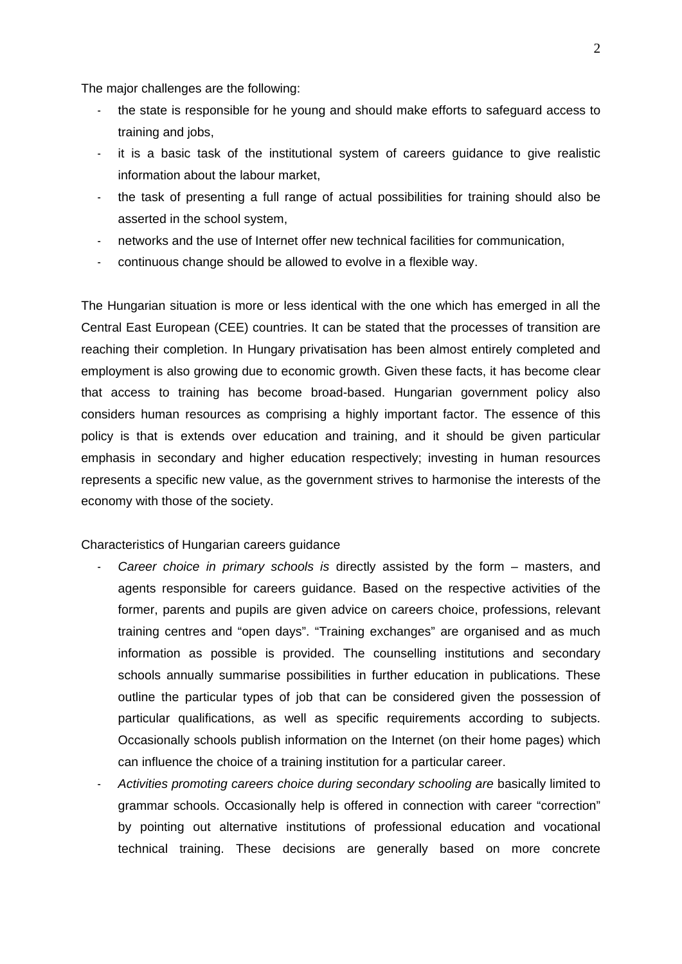The major challenges are the following:

- the state is responsible for he young and should make efforts to safeguard access to training and jobs,
- it is a basic task of the institutional system of careers guidance to give realistic information about the labour market,
- the task of presenting a full range of actual possibilities for training should also be asserted in the school system,
- networks and the use of Internet offer new technical facilities for communication,
- continuous change should be allowed to evolve in a flexible way.

The Hungarian situation is more or less identical with the one which has emerged in all the Central East European (CEE) countries. It can be stated that the processes of transition are reaching their completion. In Hungary privatisation has been almost entirely completed and employment is also growing due to economic growth. Given these facts, it has become clear that access to training has become broad-based. Hungarian government policy also considers human resources as comprising a highly important factor. The essence of this policy is that is extends over education and training, and it should be given particular emphasis in secondary and higher education respectively; investing in human resources represents a specific new value, as the government strives to harmonise the interests of the economy with those of the society.

Characteristics of Hungarian careers guidance

- Career choice in primary schools is directly assisted by the form masters, and agents responsible for careers guidance. Based on the respective activities of the former, parents and pupils are given advice on careers choice, professions, relevant training centres and "open days". "Training exchanges" are organised and as much information as possible is provided. The counselling institutions and secondary schools annually summarise possibilities in further education in publications. These outline the particular types of job that can be considered given the possession of particular qualifications, as well as specific requirements according to subjects. Occasionally schools publish information on the Internet (on their home pages) which can influence the choice of a training institution for a particular career.
- *Activities promoting careers choice during secondary schooling are* basically limited to grammar schools. Occasionally help is offered in connection with career "correction" by pointing out alternative institutions of professional education and vocational technical training. These decisions are generally based on more concrete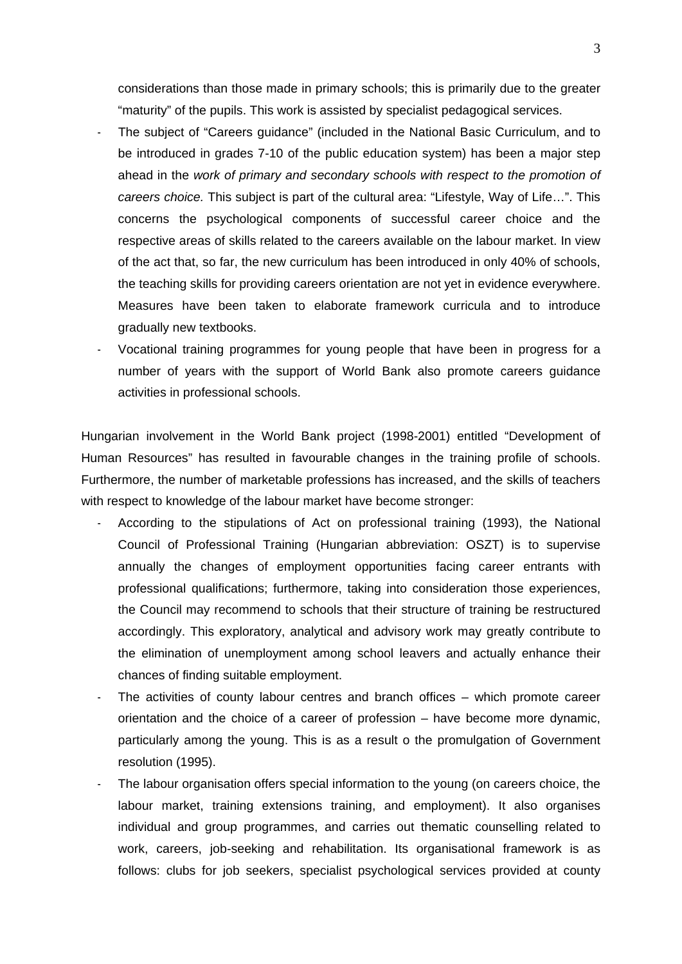considerations than those made in primary schools; this is primarily due to the greater "maturity" of the pupils. This work is assisted by specialist pedagogical services.

- The subject of "Careers guidance" (included in the National Basic Curriculum, and to be introduced in grades 7-10 of the public education system) has been a major step ahead in the *work of primary and secondary schools with respect to the promotion of careers choice.* This subject is part of the cultural area: "Lifestyle, Way of Life…". This concerns the psychological components of successful career choice and the respective areas of skills related to the careers available on the labour market. In view of the act that, so far, the new curriculum has been introduced in only 40% of schools, the teaching skills for providing careers orientation are not yet in evidence everywhere. Measures have been taken to elaborate framework curricula and to introduce gradually new textbooks.
- Vocational training programmes for young people that have been in progress for a number of years with the support of World Bank also promote careers guidance activities in professional schools.

Hungarian involvement in the World Bank project (1998-2001) entitled "Development of Human Resources" has resulted in favourable changes in the training profile of schools. Furthermore, the number of marketable professions has increased, and the skills of teachers with respect to knowledge of the labour market have become stronger:

- According to the stipulations of Act on professional training (1993), the National Council of Professional Training (Hungarian abbreviation: OSZT) is to supervise annually the changes of employment opportunities facing career entrants with professional qualifications; furthermore, taking into consideration those experiences, the Council may recommend to schools that their structure of training be restructured accordingly. This exploratory, analytical and advisory work may greatly contribute to the elimination of unemployment among school leavers and actually enhance their chances of finding suitable employment.
- The activities of county labour centres and branch offices which promote career orientation and the choice of a career of profession – have become more dynamic, particularly among the young. This is as a result o the promulgation of Government resolution (1995).
- The labour organisation offers special information to the young (on careers choice, the labour market, training extensions training, and employment). It also organises individual and group programmes, and carries out thematic counselling related to work, careers, job-seeking and rehabilitation. Its organisational framework is as follows: clubs for job seekers, specialist psychological services provided at county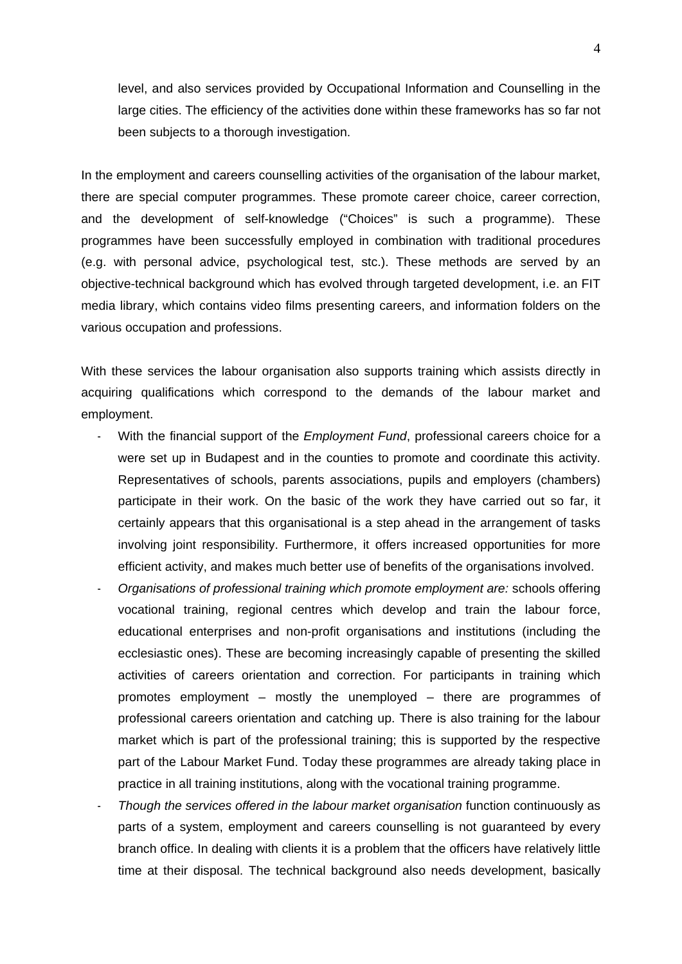level, and also services provided by Occupational Information and Counselling in the large cities. The efficiency of the activities done within these frameworks has so far not been subjects to a thorough investigation.

In the employment and careers counselling activities of the organisation of the labour market, there are special computer programmes. These promote career choice, career correction, and the development of self-knowledge ("Choices" is such a programme). These programmes have been successfully employed in combination with traditional procedures (e.g. with personal advice, psychological test, stc.). These methods are served by an objective-technical background which has evolved through targeted development, i.e. an FIT media library, which contains video films presenting careers, and information folders on the various occupation and professions.

With these services the labour organisation also supports training which assists directly in acquiring qualifications which correspond to the demands of the labour market and employment.

- With the financial support of the *Employment Fund*, professional careers choice for a were set up in Budapest and in the counties to promote and coordinate this activity. Representatives of schools, parents associations, pupils and employers (chambers) participate in their work. On the basic of the work they have carried out so far, it certainly appears that this organisational is a step ahead in the arrangement of tasks involving joint responsibility. Furthermore, it offers increased opportunities for more efficient activity, and makes much better use of benefits of the organisations involved.
- *Organisations of professional training which promote employment are:* schools offering vocational training, regional centres which develop and train the labour force, educational enterprises and non-profit organisations and institutions (including the ecclesiastic ones). These are becoming increasingly capable of presenting the skilled activities of careers orientation and correction. For participants in training which promotes employment – mostly the unemployed – there are programmes of professional careers orientation and catching up. There is also training for the labour market which is part of the professional training; this is supported by the respective part of the Labour Market Fund. Today these programmes are already taking place in practice in all training institutions, along with the vocational training programme.
- *Though the services offered in the labour market organisation* function continuously as parts of a system, employment and careers counselling is not guaranteed by every branch office. In dealing with clients it is a problem that the officers have relatively little time at their disposal. The technical background also needs development, basically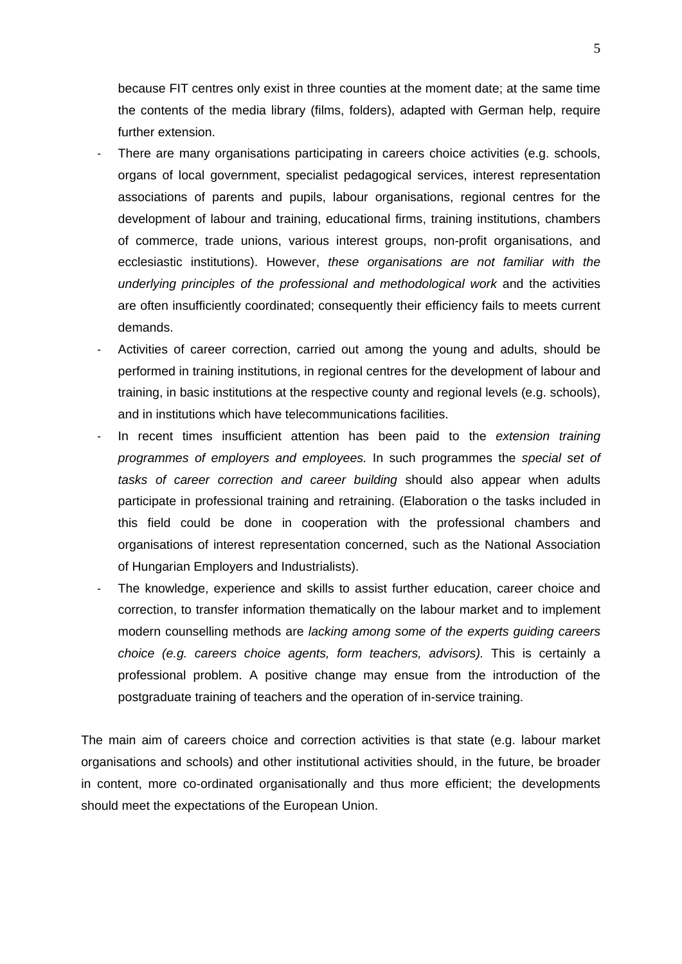because FIT centres only exist in three counties at the moment date; at the same time the contents of the media library (films, folders), adapted with German help, require further extension.

- There are many organisations participating in careers choice activities (e.g. schools, organs of local government, specialist pedagogical services, interest representation associations of parents and pupils, labour organisations, regional centres for the development of labour and training, educational firms, training institutions, chambers of commerce, trade unions, various interest groups, non-profit organisations, and ecclesiastic institutions). However, *these organisations are not familiar with the underlying principles of the professional and methodological work* and the activities are often insufficiently coordinated; consequently their efficiency fails to meets current demands.
- Activities of career correction, carried out among the young and adults, should be performed in training institutions, in regional centres for the development of labour and training, in basic institutions at the respective county and regional levels (e.g. schools), and in institutions which have telecommunications facilities.
- In recent times insufficient attention has been paid to the *extension training programmes of employers and employees.* In such programmes the *special set of tasks of career correction and career building* should also appear when adults participate in professional training and retraining. (Elaboration o the tasks included in this field could be done in cooperation with the professional chambers and organisations of interest representation concerned, such as the National Association of Hungarian Employers and Industrialists).
- The knowledge, experience and skills to assist further education, career choice and correction, to transfer information thematically on the labour market and to implement modern counselling methods are *lacking among some of the experts guiding careers choice (e.g. careers choice agents, form teachers, advisors).* This is certainly a professional problem. A positive change may ensue from the introduction of the postgraduate training of teachers and the operation of in-service training.

The main aim of careers choice and correction activities is that state (e.g. labour market organisations and schools) and other institutional activities should, in the future, be broader in content, more co-ordinated organisationally and thus more efficient; the developments should meet the expectations of the European Union.